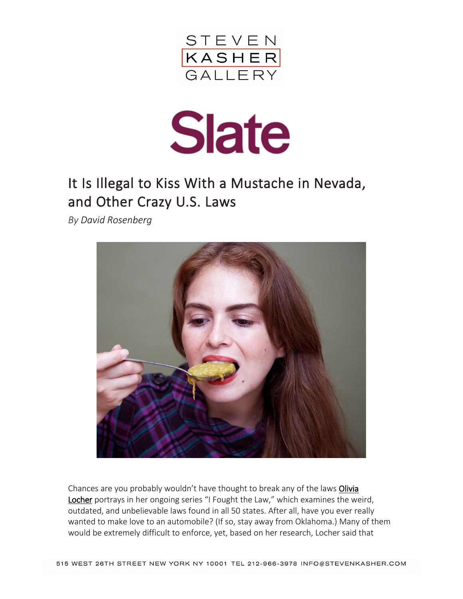



## It Is Illegal to Kiss With a Mustache in Nevada, and Other Crazy U.S. Laws

*By [David Rosenberg](http://www.slate.com/authors.david_rosenberg.html)*



Chances are you probably wouldn't have thought to break any of the laws Olivia [Locher](http://olivialocher.com/) portrays in her ongoing series "I Fought the Law," which examines the weird, outdated, and unbelievable laws found in all 50 states. After all, have you ever really wanted to make love to an automobile? (If so, stay away from Oklahoma.) Many of them would be extremely difficult to enforce, yet, based on her research, Locher said that